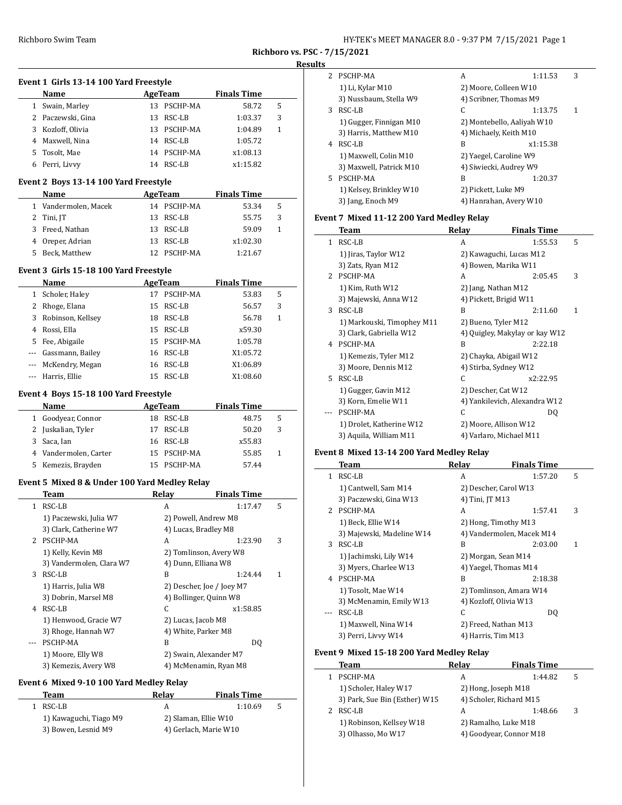| HY-TEK's MEET MANAGER 8.0 - 9:37 PM 7/15/2021 Page 1 |  |  |  |
|------------------------------------------------------|--|--|--|
|------------------------------------------------------|--|--|--|

#### **Results**

|         | Event 1 Girls 13-14 100 Yard Freestyle |  |              |  |
|---------|----------------------------------------|--|--------------|--|
| $N = 1$ |                                        |  | $A \sim \pi$ |  |

|    | Name              |     | AgeTeam     | <b>Finals Time</b> |   |  |
|----|-------------------|-----|-------------|--------------------|---|--|
| 1  | Swain, Marley     | 13. | PSCHP-MA    | 58.72              | 5 |  |
|    | 2 Paczewski, Gina | 13. | RSC-LB      | 1:03.37            | 3 |  |
| 3  | Kozloff, Olivia   |     | 13 PSCHP-MA | 1:04.89            | 1 |  |
|    | 4 Maxwell, Nina   | 14  | RSC-LB      | 1:05.72            |   |  |
| 5. | Tosolt, Mae       |     | 14 PSCHP-MA | x1:08.13           |   |  |
|    | Perri, Livvy      | 14  | RSC-LB      | x1:15.82           |   |  |

#### **Event 2 Boys 13-14 100 Yard Freestyle**

| <b>Name</b>          | AgeTeam     | <b>Finals Time</b> |   |  |
|----------------------|-------------|--------------------|---|--|
| 1 Vandermolen, Macek | 14 PSCHP-MA | 53.34              | 5 |  |
| 2 Tini, JT           | 13 RSC-LB   | 55.75              | 3 |  |
| 3 Freed, Nathan      | 13 RSC-LB   | 59.09              |   |  |
| 4 Oreper, Adrian     | 13 RSC-LB   | x1:02.30           |   |  |
| 5 Beck, Matthew      | PSCHP-MA    | 1:21.67            |   |  |

#### **Event 3 Girls 15-18 100 Yard Freestyle**

|          | Name                |    | AgeTeam   | <b>Finals Time</b> |   |  |
|----------|---------------------|----|-----------|--------------------|---|--|
| 1        | Scholer, Haley      | 17 | PSCHP-MA  | 53.83              | 5 |  |
| 2        | Rhoge, Elana        |    | 15 RSC-LB | 56.57              | 3 |  |
| 3        | Robinson, Kellsey   | 18 | RSC-LB    | 56.78              | 1 |  |
| 4        | Rossi, Ella         | 15 | RSC-LB    | x59.30             |   |  |
| 5.       | Fee, Abigaile       | 15 | PSCHP-MA  | 1:05.78            |   |  |
| $\cdots$ | Gassmann, Bailey    | 16 | RSC-LB    | X1:05.72           |   |  |
|          | --- McKendry, Megan | 16 | RSC-LB    | X1:06.89           |   |  |
|          | --- Harris, Ellie   | 15 | RSC-LB    | X1:08.60           |   |  |

#### **Event 4 Boys 15-18 100 Yard Freestyle**

| <b>Name</b>           |     | AgeTeam     | <b>Finals Time</b> |   |
|-----------------------|-----|-------------|--------------------|---|
| 1 Goodyear, Connor    |     | 18 RSC-LB   | 48.75              | 5 |
| 2 Juskalian, Tyler    | 17  | RSC-LB      | 50.20              | 3 |
| 3 Saca, Ian           |     | 16 RSC-LB   | x55.83             |   |
| 4 Vandermolen, Carter |     | 15 PSCHP-MA | 55.85              |   |
| 5 Kemezis, Brayden    | 15. | PSCHP-MA    | 57.44              |   |

### **Event 5 Mixed 8 & Under 100 Yard Medley Relay**

| Team                     | Relay  | <b>Finals Time</b> |                                                                                                                                                                                                                                                      |
|--------------------------|--------|--------------------|------------------------------------------------------------------------------------------------------------------------------------------------------------------------------------------------------------------------------------------------------|
| RSC-LB                   | A      | 1:17.47            | 5                                                                                                                                                                                                                                                    |
| 1) Paczewski, Julia W7   |        |                    |                                                                                                                                                                                                                                                      |
| 3) Clark, Catherine W7   |        |                    |                                                                                                                                                                                                                                                      |
| PSCHP-MA                 | A      | 1:23.90            | 3                                                                                                                                                                                                                                                    |
| 1) Kelly, Kevin M8       |        |                    |                                                                                                                                                                                                                                                      |
| 3) Vandermolen, Clara W7 |        |                    |                                                                                                                                                                                                                                                      |
| RSC-LB                   | B      | 1:24.44            | 1                                                                                                                                                                                                                                                    |
| 1) Harris, Julia W8      |        |                    |                                                                                                                                                                                                                                                      |
| 3) Dobrin, Marsel M8     |        |                    |                                                                                                                                                                                                                                                      |
| RSC-LB                   | C      | x1:58.85           |                                                                                                                                                                                                                                                      |
| 1) Henwood, Gracie W7    |        |                    |                                                                                                                                                                                                                                                      |
| 3) Rhoge, Hannah W7      |        |                    |                                                                                                                                                                                                                                                      |
| PSCHP-MA                 | B      | DO.                |                                                                                                                                                                                                                                                      |
| 1) Moore, Elly W8        |        |                    |                                                                                                                                                                                                                                                      |
| 3) Kemezis, Avery W8     |        |                    |                                                                                                                                                                                                                                                      |
|                          | 1<br>2 |                    | 2) Powell, Andrew M8<br>4) Lucas, Bradley M8<br>2) Tomlinson, Avery W8<br>4) Dunn, Elliana W8<br>2) Descher, Joe / Joey M7<br>4) Bollinger, Quinn W8<br>2) Lucas, Jacob M8<br>4) White, Parker M8<br>2) Swain, Alexander M7<br>4) McMenamin, Ryan M8 |

## **Event 6 Mixed 9-10 100 Yard Medley Relay**

| Team                   | Relav                 | <b>Finals Time</b>   |   |
|------------------------|-----------------------|----------------------|---|
| RSC-LB                 | А                     | 1:10.69              | 5 |
| 1) Kawaguchi, Tiago M9 |                       | 2) Slaman, Ellie W10 |   |
| 3) Bowen, Lesnid M9    | 4) Gerlach, Marie W10 |                      |   |

| 2  | PSCHP-MA                | A                          | 1:11.53  | 3 |
|----|-------------------------|----------------------------|----------|---|
|    | 1) Li, Kylar M10        | 2) Moore, Colleen W10      |          |   |
|    | 3) Nussbaum, Stella W9  | 4) Scribner, Thomas M9     |          |   |
| 3  | RSC-LB                  | C                          | 1:13.75  | 1 |
|    | 1) Gugger, Finnigan M10 | 2) Montebello, Aaliyah W10 |          |   |
|    | 3) Harris, Matthew M10  | 4) Michaely, Keith M10     |          |   |
| 4  | RSC-LB                  | B                          | x1:15.38 |   |
|    | 1) Maxwell, Colin M10   | 2) Yaegel, Caroline W9     |          |   |
|    | 3) Maxwell, Patrick M10 | 4) Siwiecki, Audrey W9     |          |   |
| 5. | PSCHP-MA                | B                          | 1:20.37  |   |
|    | 1) Kelsey, Brinkley W10 | 2) Pickett, Luke M9        |          |   |
|    | 3) Jang, Enoch M9       | 4) Hanrahan, Avery W10     |          |   |

## **Event 7 Mixed 11-12 200 Yard Medley Relay**

|             | Team                       | Relay | <b>Finals Time</b>             |  |
|-------------|----------------------------|-------|--------------------------------|--|
| 1           | RSC-LB                     | A     | 5<br>1:55.53                   |  |
|             | 1) Jiras, Taylor W12       |       | 2) Kawaguchi, Lucas M12        |  |
|             | 3) Zats, Ryan M12          |       | 4) Bowen, Marika W11           |  |
| $2^{\circ}$ | PSCHP-MA                   | A     | 3<br>2:05.45                   |  |
|             | 1) Kim, Ruth W12           |       | 2) Jang, Nathan M12            |  |
|             | 3) Majewski, Anna W12      |       | 4) Pickett, Brigid W11         |  |
| 3           | RSC-LB                     | B     | 2:11.60<br>1                   |  |
|             | 1) Markouski, Timophey M11 |       | 2) Bueno, Tyler M12            |  |
|             | 3) Clark, Gabriella W12    |       | 4) Quigley, Makylay or kay W12 |  |
| 4           | PSCHP-MA                   | B     | 2:22.18                        |  |
|             | 1) Kemezis, Tyler M12      |       | 2) Chayka, Abigail W12         |  |
|             | 3) Moore, Dennis M12       |       | 4) Stirba, Sydney W12          |  |
| 5.          | RSC-LB                     | C     | x2:22.95                       |  |
|             | 1) Gugger, Gavin M12       |       | 2) Descher, Cat W12            |  |
|             | 3) Korn, Emelie W11        |       | 4) Yankilevich, Alexandra W12  |  |
|             | PSCHP-MA                   | C     | DQ                             |  |
|             | 1) Drolet, Katherine W12   |       | 2) Moore, Allison W12          |  |
|             | 3) Aquila, William M11     |       | 4) Varlaro, Michael M11        |  |

# **Event 8 Mixed 13-14 200 Yard Medley Relay**

|   | Team                      | Relay           | <b>Finals Time</b>        |   |
|---|---------------------------|-----------------|---------------------------|---|
| 1 | RSC-LB                    | A               | 1:57.20                   | 5 |
|   | 1) Cantwell, Sam M14      |                 | 2) Descher, Carol W13     |   |
|   | 3) Paczewski, Gina W13    | 4) Tini, JT M13 |                           |   |
|   | 2 PSCHP-MA                | A               | 1:57.41                   | 3 |
|   | 1) Beck, Ellie W14        |                 | 2) Hong, Timothy M13      |   |
|   | 3) Majewski, Madeline W14 |                 | 4) Vandermolen, Macek M14 |   |
| 3 | RSC-LB                    | B               | 2:03.00                   | 1 |
|   | 1) Jachimski, Lily W14    |                 | 2) Morgan, Sean M14       |   |
|   | 3) Myers, Charlee W13     |                 | 4) Yaegel, Thomas M14     |   |
| 4 | PSCHP-MA                  | B               | 2:18.38                   |   |
|   | 1) Tosolt, Mae W14        |                 | 2) Tomlinson, Amara W14   |   |
|   | 3) McMenamin, Emily W13   |                 | 4) Kozloff, Olivia W13    |   |
|   | RSC-LB                    | C               | DO.                       |   |
|   | 1) Maxwell, Nina W14      |                 | 2) Freed, Nathan M13      |   |
|   | 3) Perri, Livvy W14       |                 | 4) Harris, Tim M13        |   |

### **Event 9 Mixed 15-18 200 Yard Medley Relay**

| Team                          | Relav | <b>Finals Time</b>      |   |
|-------------------------------|-------|-------------------------|---|
| PSCHP-MA                      | А     | 1:44.82                 |   |
| 1) Scholer, Haley W17         |       | 2) Hong, Joseph M18     |   |
| 3) Park, Sue Bin (Esther) W15 |       | 4) Scholer, Richard M15 |   |
| RSC-LB                        | А     | 1:48.66                 | 3 |
| 1) Robinson, Kellsey W18      |       | 2) Ramalho, Luke M18    |   |
| 3) Olhasso, Mo W17            |       | 4) Goodyear, Connor M18 |   |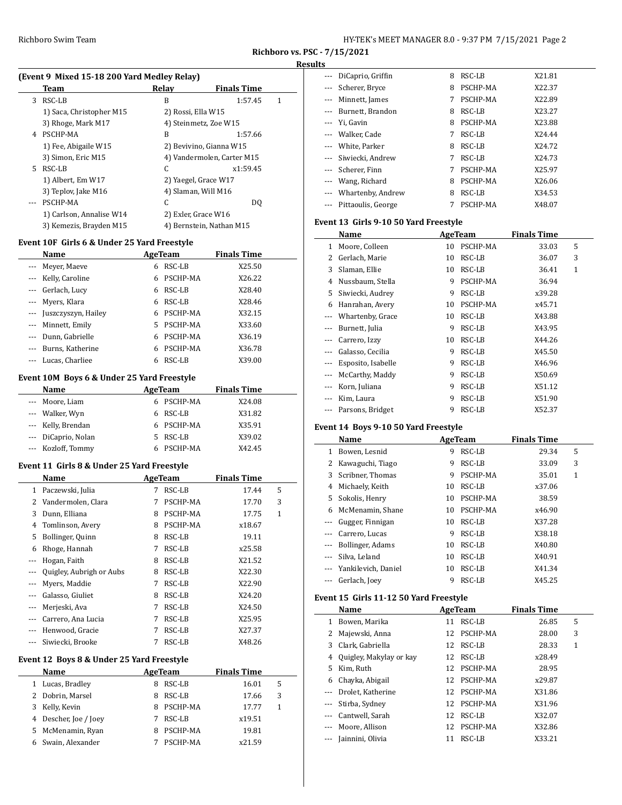#### **Results**

|    | (Event 9 Mixed 15-18 200 Yard Medley Relay) |                    |                            |   |  |  |
|----|---------------------------------------------|--------------------|----------------------------|---|--|--|
|    | Team                                        | Relay              | <b>Finals Time</b>         |   |  |  |
| 3. | RSC-LB                                      | B                  | 1:57.45                    | 1 |  |  |
|    | 1) Saca, Christopher M15                    | 2) Rossi, Ella W15 |                            |   |  |  |
|    | 3) Rhoge, Mark M17                          |                    | 4) Steinmetz, Zoe W15      |   |  |  |
| 4  | PSCHP-MA                                    | B                  | 1:57.66                    |   |  |  |
|    | 1) Fee, Abigaile W15                        |                    | 2) Bevivino, Gianna W15    |   |  |  |
|    | 3) Simon, Eric M15                          |                    | 4) Vandermolen, Carter M15 |   |  |  |
| 5. | RSC-LB                                      | C.                 | x1:59.45                   |   |  |  |
|    | 1) Albert, Em W17                           |                    | 2) Yaegel, Grace W17       |   |  |  |
|    | 3) Teplov, Jake M16                         |                    | 4) Slaman, Will M16        |   |  |  |
|    | PSCHP-MA                                    | C                  | DO.                        |   |  |  |
|    | 1) Carlson, Annalise W14                    |                    | 2) Exler, Grace W16        |   |  |  |
|    | 3) Kemezis, Brayden M15                     |                    | 4) Bernstein, Nathan M15   |   |  |  |

### **Event 10F Girls 6 & Under 25 Yard Freestyle**

| <b>Name</b>                  | AgeTeam        | <b>Finals Time</b> |
|------------------------------|----------------|--------------------|
| Meyer, Maeye<br>$\cdots$     | RSC-LB<br>6    | X25.50             |
| --- Kelly, Caroline          | PSCHP-MA<br>6  | X26.22             |
| --- Gerlach, Lucy            | RSC-LB<br>6    | X28.40             |
| --- Myers, Klara             | RSC-LB<br>6    | X28.46             |
| --- Juszczyszyn, Hailey      | PSCHP-MA<br>6  | X32.15             |
| --- Minnett, Emily           | PSCHP-MA<br>5. | X33.60             |
| Dunn, Gabrielle<br>$\cdots$  | PSCHP-MA<br>6  | X36.19             |
| Burns, Katherine<br>$\cdots$ | PSCHP-MA<br>6  | X36.78             |
| Lucas, Charliee<br>$\cdots$  | RSC-LB<br>6    | X39.00             |

### **Event 10M Boys 6 & Under 25 Yard Freestyle**

| AgeTeam        | <b>Finals Time</b> |
|----------------|--------------------|
| 6 PSCHP-MA     | X24.08             |
| - RSC-LB<br>6. | X31.82             |
| 6 PSCHP-MA     | X35.91             |
| RSC-LB         | X39.02             |
| PSCHP-MA<br>6  | X42.45             |
|                |                    |

### **Event 11 Girls 8 & Under 25 Yard Freestyle**

|              | Name                     | AgeTeam |          | <b>Finals Time</b> |              |  |
|--------------|--------------------------|---------|----------|--------------------|--------------|--|
| $\mathbf{1}$ | Paczewski, Julia         | 7       | RSC-LB   | 17.44              | 5            |  |
| 2            | Vandermolen, Clara       | 7       | PSCHP-MA | 17.70              | 3            |  |
| 3            | Dunn, Elliana            | 8       | PSCHP-MA | 17.75              | $\mathbf{1}$ |  |
| 4            | Tomlinson, Avery         | 8       | PSCHP-MA | x18.67             |              |  |
| 5            | Bollinger, Quinn         | 8       | RSC-LB   | 19.11              |              |  |
| 6            | Rhoge, Hannah            | 7       | RSC-LB   | x25.58             |              |  |
| $---$        | Hogan, Faith             | 8       | RSC-LB   | X21.52             |              |  |
|              | Quigley, Aubrigh or Aubs | 8       | RSC-LB   | X22.30             |              |  |
|              | Myers, Maddie            | 7       | RSC-LB   | X22.90             |              |  |
|              | Galasso, Giuliet         | 8       | RSC-LB   | X24.20             |              |  |
| $---$        | Merjeski, Ava            | 7       | RSC-LB   | X24.50             |              |  |
|              | Carrero, Ana Lucia       | 7       | RSC-LB   | X25.95             |              |  |
| $---$        | Henwood, Gracie          | 7       | RSC-LB   | X27.37             |              |  |
|              | Siwiecki, Brooke         |         | RSC-LB   | X48.26             |              |  |

# **Event 12 Boys 8 & Under 25 Yard Freestyle**

 $\overline{a}$ 

| Name                  |   | AgeTeam  | <b>Finals Time</b> |   |  |
|-----------------------|---|----------|--------------------|---|--|
| Lucas, Bradley        | 8 | RSC-LB   | 16.01              | 5 |  |
| 2 Dobrin, Marsel      | 8 | RSC-LB   | 17.66              | 3 |  |
| Kelly, Kevin          | 8 | PSCHP-MA | 17.77              | 1 |  |
| 4 Descher, Joe / Joey |   | RSC-LB   | x19.51             |   |  |
| 5 McMenamin, Ryan     | 8 | PSCHP-MA | 19.81              |   |  |
| Swain, Alexander      |   | PSCHP-MA | x21.59             |   |  |

| DiCaprio, Griffin          | 8 | RSC-LB   | X21.81 |
|----------------------------|---|----------|--------|
| Scherer, Bryce<br>$\cdots$ | 8 | PSCHP-MA | X22.37 |
| Minnett, James             | 7 | PSCHP-MA | X22.89 |
| --- Burnett, Brandon       | 8 | RSC-LB   | X23.27 |
| Yi, Gavin<br>$\cdots$      | 8 | PSCHP-MA | X23.88 |
| --- Walker, Cade           | 7 | RSC-LB   | X24.44 |
| --- White, Parker          | 8 | RSC-LB   | X24.72 |
| --- Siwiecki, Andrew       | 7 | RSC-LB   | X24.73 |
| --- Scherer, Finn          | 7 | PSCHP-MA | X25.97 |
| Wang, Richard              | 8 | PSCHP-MA | X26.06 |
| Whartenby, Andrew          | 8 | RSC-LB   | X34.53 |
| Pittaoulis, George         |   | PSCHP-MA | X48.07 |

## **Event 13 Girls 9-10 50 Yard Freestyle**

|          | Name               |    | AgeTeam  | <b>Finals Time</b> |              |
|----------|--------------------|----|----------|--------------------|--------------|
| 1        | Moore, Colleen     | 10 | PSCHP-MA | 33.03              | 5            |
| 2        | Gerlach, Marie     | 10 | RSC-LB   | 36.07              | 3            |
| 3        | Slaman, Ellie      | 10 | RSC-LB   | 36.41              | $\mathbf{1}$ |
| 4        | Nussbaum, Stella   | 9  | PSCHP-MA | 36.94              |              |
| 5        | Siwiecki, Audrey   | 9  | RSC-LB   | x39.28             |              |
| 6        | Hanrahan, Avery    | 10 | PSCHP-MA | x45.71             |              |
| $\cdots$ | Whartenby, Grace   | 10 | RSC-LB   | X43.88             |              |
|          | Burnett, Julia     | 9  | RSC-LB   | X43.95             |              |
|          | Carrero, Izzy      | 10 | RSC-LB   | X44.26             |              |
|          | Galasso, Cecilia   | 9  | RSC-LB   | X45.50             |              |
|          | Esposito, Isabelle | 9  | RSC-LB   | X46.96             |              |
|          | McCarthy, Maddy    | 9  | RSC-LB   | X50.69             |              |
| ---      | Korn, Juliana      | 9  | RSC-LB   | X51.12             |              |
|          | Kim, Laura         | 9  | RSC-LB   | X51.90             |              |
| ---      | Parsons, Bridget   | 9  | RSC-LB   | X52.37             |              |

## **Event 14 Boys 9-10 50 Yard Freestyle**

|          | Name                |    | AgeTeam  | <b>Finals Time</b> |   |
|----------|---------------------|----|----------|--------------------|---|
| 1        | Bowen, Lesnid       | 9  | RSC-LB   | 29.34              | 5 |
| 2        | Kawaguchi, Tiago    | 9  | RSC-LB   | 33.09              | 3 |
| 3        | Scribner, Thomas    | 9  | PSCHP-MA | 35.01              | 1 |
| 4        | Michaely, Keith     | 10 | RSC-LB   | x37.06             |   |
| 5        | Sokolis, Henry      | 10 | PSCHP-MA | 38.59              |   |
| 6        | McMenamin, Shane    | 10 | PSCHP-MA | x46.90             |   |
| $\cdots$ | Gugger, Finnigan    | 10 | RSC-LB   | X37.28             |   |
|          | Carrero, Lucas      | 9  | RSC-LB   | X38.18             |   |
| $\cdots$ | Bollinger, Adams    | 10 | RSC-LB   | X40.80             |   |
| $\cdots$ | Silva, Leland       | 10 | RSC-LB   | X40.91             |   |
| $\cdots$ | Yankilevich, Daniel | 10 | RSC-LB   | X41.34             |   |
|          | Gerlach, Joev       | 9  | RSC-LB   | X45.25             |   |

### **Event 15 Girls 11-12 50 Yard Freestyle**

|          | Name                    | <b>Finals Time</b> |          |        |   |  |
|----------|-------------------------|--------------------|----------|--------|---|--|
| 1        | Bowen, Marika           | 11                 | RSC-LB   | 26.85  | 5 |  |
| 2        | Majewski, Anna          | 12                 | PSCHP-MA | 28.00  | 3 |  |
| 3        | Clark, Gabriella        | 12                 | RSC-LB   | 28.33  | 1 |  |
| 4        | Quigley, Makylay or kay | 12                 | RSC-LB   | x28.49 |   |  |
| 5.       | Kim, Ruth               | 12                 | PSCHP-MA | 28.95  |   |  |
| 6        | Chayka, Abigail         | 12.                | PSCHP-MA | x29.87 |   |  |
|          | Drolet. Katherine       | 12                 | PSCHP-MA | X31.86 |   |  |
| $\cdots$ | Stirba, Sydney          | 12                 | PSCHP-MA | X31.96 |   |  |
|          | Cantwell, Sarah         | 12                 | RSC-LB   | X32.07 |   |  |
|          | Moore, Allison          | 12                 | PSCHP-MA | X32.86 |   |  |
|          | Jainnini, Olivia        | 11                 | RSC-LB   | X33.21 |   |  |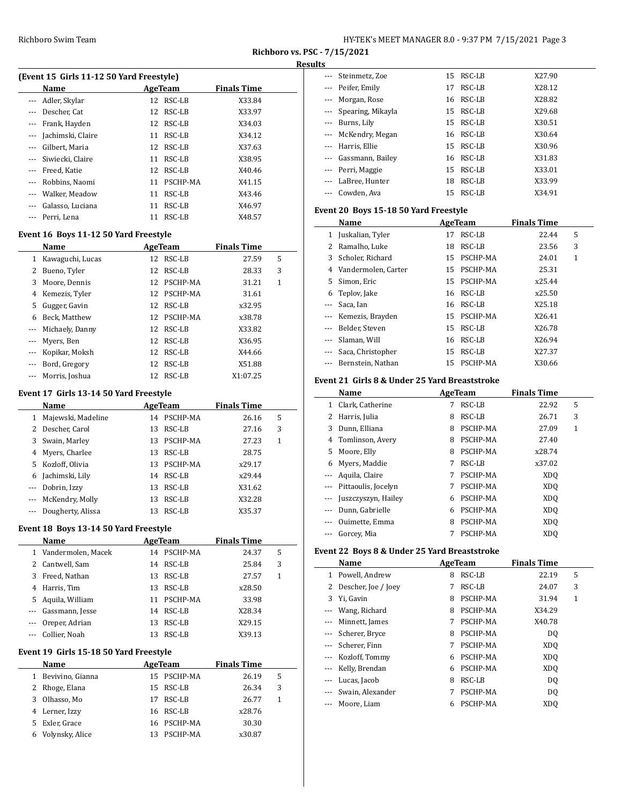| HY-TEK's MEET MANAGER 8.0 - 9:37 PM 7/15/2021 Page 3 |  |
|------------------------------------------------------|--|
|------------------------------------------------------|--|

### **Results**

| (Event 15 Girls 11-12 50 Yard Freestyle) |                   |    |          |                    |  |  |  |
|------------------------------------------|-------------------|----|----------|--------------------|--|--|--|
|                                          | Name              |    | AgeTeam  | <b>Finals Time</b> |  |  |  |
|                                          | --- Adler, Skylar | 12 | RSC-LB   | X33.84             |  |  |  |
|                                          | Descher, Cat      | 12 | RSC-LB   | X33.97             |  |  |  |
|                                          | Frank, Hayden     | 12 | RSC-LB   | X34.03             |  |  |  |
| $\cdots$                                 | Jachimski, Claire | 11 | RSC-LB   | X34.12             |  |  |  |
|                                          | Gilbert, Maria    | 12 | RSC-LB   | X37.63             |  |  |  |
| $---$                                    | Siwiecki, Claire  | 11 | RSC-LB   | X38.95             |  |  |  |
| $\cdots$                                 | Freed, Katie      | 12 | RSC-LB   | X40.46             |  |  |  |
|                                          | Robbins, Naomi    | 11 | PSCHP-MA | X41.15             |  |  |  |
|                                          | Walker, Meadow    | 11 | RSC-LB   | X43.46             |  |  |  |
|                                          | Galasso, Luciana  | 11 | RSC-LB   | X46.97             |  |  |  |
|                                          | Perri. Lena       | 11 | RSC-LB   | X48.57             |  |  |  |

# **Event 16 Boys 11-12 50 Yard Freestyle**

|    | Name<br>AgeTeam  |    |          | <b>Finals Time</b> |   |
|----|------------------|----|----------|--------------------|---|
| 1  | Kawaguchi, Lucas | 12 | RSC-LB   | 27.59              | 5 |
| 2  | Bueno, Tyler     | 12 | RSC-LB   | 28.33              | 3 |
|    | 3 Moore, Dennis  | 12 | PSCHP-MA | 31.21              | 1 |
| 4  | Kemezis, Tyler   | 12 | PSCHP-MA | 31.61              |   |
| 5. | Gugger, Gavin    | 12 | RSC-LB   | x32.95             |   |
| 6  | Beck, Matthew    | 12 | PSCHP-MA | x38.78             |   |
|    | Michaely, Danny  | 12 | RSC-LB   | X33.82             |   |
|    | Myers, Ben       | 12 | RSC-LB   | X36.95             |   |
|    | Kopikar, Moksh   | 12 | RSC-LB   | X44.66             |   |
|    | Bord, Gregory    | 12 | RSC-LB   | X51.88             |   |
|    | Morris, Joshua   | 12 | RSC-LB   | X1:07.25           |   |

### **Event 17 Girls 13-14 50 Yard Freestyle**

|   | Name                  | AgeTeam |             | <b>Finals Time</b> |   |
|---|-----------------------|---------|-------------|--------------------|---|
| 1 | Majewski, Madeline    | 14      | PSCHP-MA    | 26.16              | 5 |
|   | 2 Descher, Carol      | 13      | RSC-LB      | 27.16              | 3 |
|   | 3 Swain, Marley       |         | 13 PSCHP-MA | 27.23              | 1 |
| 4 | Myers, Charlee        | 13      | RSC-LB      | 28.75              |   |
|   | 5 Kozloff, Olivia     | 13      | PSCHP-MA    | x29.17             |   |
| 6 | Jachimski, Lily       | 14      | RSC-LB      | x29.44             |   |
|   | --- Dobrin, Izzy      | 13      | RSC-LB      | X31.62             |   |
|   | --- McKendry, Molly   | 13      | RSC-LB      | X32.28             |   |
|   | --- Dougherty, Alissa | 13      | RSC-LB      | X35.37             |   |

#### **Event 18 Boys 13-14 50 Yard Freestyle**

|                   | Name                 | AgeTeam |          | <b>Finals Time</b> |   |
|-------------------|----------------------|---------|----------|--------------------|---|
|                   | 1 Vandermolen, Macek | 14      | PSCHP-MA | 24.37              | 5 |
|                   | 2 Cantwell, Sam      | 14      | RSC-LB   | 25.84              | 3 |
| 3                 | Freed, Nathan        | 13.     | RSC-LB   | 27.57              | 1 |
| 4                 | Harris, Tim          | 13.     | RSC-LB   | x28.50             |   |
| 5.                | Aquila, William      | 11      | PSCHP-MA | 33.98              |   |
| $\cdots$          | Gassmann, Jesse      | 14      | RSC-LB   | X28.34             |   |
| $\qquad \qquad -$ | Oreper, Adrian       | 13      | RSC-LB   | X29.15             |   |
|                   | Collier, Noah        | 13      | RSC-LB   | X39.13             |   |

#### **Event 19 Girls 15-18 50 Yard Freestyle**

|    | Name               |     | AgeTeam     | <b>Finals Time</b> |   |
|----|--------------------|-----|-------------|--------------------|---|
|    | 1 Bevivino, Gianna |     | 15 PSCHP-MA | 26.19              | 5 |
|    | 2 Rhoge, Elana     | 15. | RSC-LB      | 26.34              | 3 |
| 3  | Olhasso, Mo        | 17  | RSC-LB      | 26.77              |   |
|    | 4 Lerner, Izzy     | 16. | RSC-LB      | x28.76             |   |
| 5. | Exler. Grace       |     | 16 PSCHP-MA | 30.30              |   |
| 6  | Volynsky, Alice    | 13  | PSCHP-MA    | x30.87             |   |

| --- Steinmetz, Zoe            | RSC-LB<br>15 | X27.90 |  |
|-------------------------------|--------------|--------|--|
| --- Peifer, Emily             | RSC-LB<br>17 | X28.12 |  |
| Morgan, Rose<br>$\cdots$      | 16 RSC-LB    | X28.82 |  |
| Spearing, Mikayla<br>$\cdots$ | RSC-LB<br>15 | X29.68 |  |
| --- Burns, Lily               | 15 RSC-LB    | X30.51 |  |
| --- McKendry, Megan           | 16 RSC-LB    | X30.64 |  |
| Harris. Ellie<br>$\cdots$     | 15 RSC-LB    | X30.96 |  |
| Gassmann, Bailey              | RSC-LB<br>16 | X31.83 |  |
| --- Perri, Maggie             | RSC-LB<br>15 | X33.01 |  |
| LaBree, Hunter                | RSC-LB<br>18 | X33.99 |  |
| Cowden, Ava                   | RSC-LB<br>15 | X34.91 |  |

## **Event 20 Boys 15-18 50 Yard Freestyle**

|          | Name<br>AgeTeam       |    |             | <b>Finals Time</b> |   |  |
|----------|-----------------------|----|-------------|--------------------|---|--|
| 1        | Juskalian, Tyler      | 17 | RSC-LB      | 22.44              | 5 |  |
| 2        | Ramalho, Luke         | 18 | RSC-LB      | 23.56              | 3 |  |
| 3        | Scholer, Richard      | 15 | PSCHP-MA    | 24.01              | 1 |  |
| 4        | Vandermolen, Carter   | 15 | PSCHP-MA    | 25.31              |   |  |
| 5.       | Simon, Eric           | 15 | PSCHP-MA    | x25.44             |   |  |
|          | 6 Teplov, Jake        | 16 | RSC-LB      | x25.50             |   |  |
|          | Saca, Ian             | 16 | RSC-LB      | X25.18             |   |  |
| $\cdots$ | Kemezis, Brayden      |    | 15 PSCHP-MA | X26.41             |   |  |
| $\cdots$ | Belder, Steven        | 15 | RSC-LB      | X26.78             |   |  |
|          | Slaman. Will          | 16 | RSC-LB      | X26.94             |   |  |
|          | --- Saca, Christopher | 15 | RSC-LB      | X27.37             |   |  |
|          | --- Bernstein, Nathan | 15 | PSCHP-MA    | X30.66             |   |  |

# **Event 21 Girls 8 & Under 25 Yard Breaststroke**

|              | Name                | AgeTeam |          |                 |   |  |
|--------------|---------------------|---------|----------|-----------------|---|--|
| $\mathbf{1}$ | Clark, Catherine    | 7       | RSC-LB   | 22.92           | 5 |  |
| 2            | Harris, Julia       | 8       | RSC-LB   | 26.71           | 3 |  |
| 3            | Dunn, Elliana       | 8       | PSCHP-MA | 27.09           | 1 |  |
| 4            | Tomlinson, Avery    | 8       | PSCHP-MA | 27.40           |   |  |
| 5.           | Moore, Elly         | 8       | PSCHP-MA | x28.74          |   |  |
| 6            | Myers, Maddie       | 7       | RSC-LB   | x37.02          |   |  |
|              | Aquila, Claire      | 7       | PSCHP-MA | XD <sub>0</sub> |   |  |
|              | Pittaoulis, Jocelyn |         | PSCHP-MA | XD <sub>0</sub> |   |  |
|              | Juszczyszyn, Hailey | 6       | PSCHP-MA | XD <sub>O</sub> |   |  |
|              | Dunn, Gabrielle     | 6       | PSCHP-MA | XD <sub>0</sub> |   |  |
| $---$        | Ouimette, Emma      | 8       | PSCHP-MA | XD <sub>0</sub> |   |  |
|              | Gorcey, Mia         |         | PSCHP-MA | XD <sub>O</sub> |   |  |

# **Event 22 Boys 8 & Under 25 Yard Breaststroke**

|              | Name                |   | <b>AgeTeam</b> | <b>Finals Time</b> |   |
|--------------|---------------------|---|----------------|--------------------|---|
| $\mathbf{1}$ | Powell, Andrew      | 8 | RSC-LB         | 22.19              | 5 |
| 2            | Descher, Joe / Joey | 7 | RSC-LB         | 24.07              | 3 |
| 3            | Yi, Gavin           | 8 | PSCHP-MA       | 31.94              | 1 |
| $\cdots$     | Wang, Richard       | 8 | PSCHP-MA       | X34.29             |   |
|              | Minnett, James      | 7 | PSCHP-MA       | X40.78             |   |
| $\cdots$     | Scherer, Bryce      | 8 | PSCHP-MA       | DO.                |   |
| $\cdots$     | Scherer, Finn       | 7 | PSCHP-MA       | XDO                |   |
| $\cdots$     | Kozloff, Tommy      | 6 | PSCHP-MA       | XDO                |   |
|              | --- Kelly, Brendan  | 6 | PSCHP-MA       | XDO                |   |
|              | Lucas, Jacob        | 8 | RSC-LB         | DO.                |   |
|              | Swain, Alexander    |   | PSCHP-MA       | DO.                |   |
|              | Moore, Liam         | 6 | PSCHP-MA       | XDO                |   |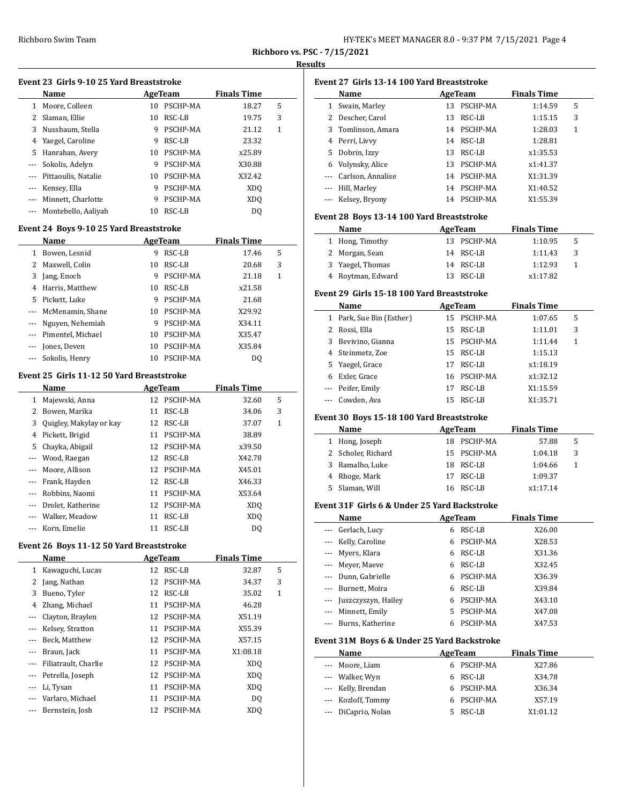# **Results**

| Event 23 Girls 9-10 25 Yard Breaststroke |    |             |                    |   |  |  |  |  |  |
|------------------------------------------|----|-------------|--------------------|---|--|--|--|--|--|
| <b>Name</b>                              |    | AgeTeam     | <b>Finals Time</b> |   |  |  |  |  |  |
| 1 Moore, Colleen                         |    | 10 PSCHP-MA | 18.27              | 5 |  |  |  |  |  |
| 2 Slaman, Ellie                          | 10 | RSC-LB      | 19.75              | 3 |  |  |  |  |  |
| 3 Nussbaum, Stella                       | 9  | PSCHP-MA    | 21.12              | 1 |  |  |  |  |  |
| 4 Yaegel, Caroline                       |    | RSC-LB      | 23.32              |   |  |  |  |  |  |
|                                          |    |             |                    |   |  |  |  |  |  |

| 5 Hanrahan, Avery       |    | 10 PSCHP-MA | x25.89          |
|-------------------------|----|-------------|-----------------|
| --- Sokolis, Adelyn     |    | PSCHP-MA    | X30.88          |
| --- Pittaoulis, Natalie | 10 | PSCHP-MA    | X32.42          |
| --- Kensey, Ella        | 9  | PSCHP-MA    | XDO             |
| --- Minnett, Charlotte  |    | PSCHP-MA    | XD <sub>0</sub> |
| --- Montebello, Aaliyah |    | RSC-LB      | DO              |

## **Event 24 Boys 9-10 25 Yard Breaststroke**

|          | <b>Name</b>           |    | AgeTeam  |        |   |  |
|----------|-----------------------|----|----------|--------|---|--|
| 1        | Bowen, Lesnid         | 9  | RSC-LB   | 17.46  | 5 |  |
|          | 2 Maxwell, Colin      | 10 | RSC-LB   | 20.68  | 3 |  |
| 3        | Jang, Enoch           | 9  | PSCHP-MA | 21.18  | 1 |  |
| 4        | Harris, Matthew       | 10 | RSC-LB   | x21.58 |   |  |
| 5.       | Pickett. Luke         | 9  | PSCHP-MA | 21.68  |   |  |
| $\cdots$ | McMenamin, Shane      | 10 | PSCHP-MA | X29.92 |   |  |
| $\cdots$ | Nguyen, Nehemiah      | 9  | PSCHP-MA | X34.11 |   |  |
|          | --- Pimentel, Michael | 10 | PSCHP-MA | X35.47 |   |  |
| ---      | Jones, Deven          | 10 | PSCHP-MA | X35.84 |   |  |
|          | Sokolis, Henry        | 10 | PSCHP-MA | D0     |   |  |

## **Event 25 Girls 11-12 50 Yard Breaststroke**

 $\overline{a}$ 

|          | Name                    |    | AgeTeam     | <b>Finals Time</b> |   |  |
|----------|-------------------------|----|-------------|--------------------|---|--|
| 1        | Majewski, Anna          |    | 12 PSCHP-MA | 32.60              | 5 |  |
| 2        | Bowen, Marika           | 11 | RSC-LB      | 34.06              | 3 |  |
| 3        | Quigley, Makylay or kay | 12 | RSC-LB      | 37.07              | 1 |  |
| 4        | Pickett, Brigid         | 11 | PSCHP-MA    | 38.89              |   |  |
| 5.       | Chayka, Abigail         |    | 12 PSCHP-MA | x39.50             |   |  |
|          | Wood, Raegan            | 12 | RSC-LB      | X42.78             |   |  |
|          | Moore, Allison          |    | 12 PSCHP-MA | X45.01             |   |  |
| $\cdots$ | Frank, Hayden           | 12 | RSC-LB      | X46.33             |   |  |
| $\cdots$ | Robbins, Naomi          | 11 | PSCHP-MA    | X53.64             |   |  |
|          | Drolet, Katherine       | 12 | PSCHP-MA    | XD <sub>0</sub>    |   |  |
|          | Walker, Meadow          | 11 | RSC-LB      | XD <sub>O</sub>    |   |  |
|          | Korn, Emelie            | 11 | RSC-LB      | DO                 |   |  |

## **Event 26 Boys 11-12 50 Yard Breaststroke**

|       | Name                 |    | AgeTeam  | <b>Finals Time</b> |   |
|-------|----------------------|----|----------|--------------------|---|
| 1     | Kawaguchi, Lucas     | 12 | RSC-LB   | 32.87              | 5 |
| 2     | Jang, Nathan         | 12 | PSCHP-MA | 34.37              | 3 |
| 3     | Bueno, Tyler         | 12 | RSC-LB   | 35.02              | 1 |
| 4     | Zhang, Michael       | 11 | PSCHP-MA | 46.28              |   |
| $---$ | Clayton, Braylen     | 12 | PSCHP-MA | X51.19             |   |
|       | Kelsey, Stratton     | 11 | PSCHP-MA | X55.39             |   |
|       | Beck, Matthew        | 12 | PSCHP-MA | X57.15             |   |
|       | Braun, Jack          | 11 | PSCHP-MA | X1:08.18           |   |
|       | Filiatrault, Charlie | 12 | PSCHP-MA | XD <sub>O</sub>    |   |
|       | Petrella, Joseph     | 12 | PSCHP-MA | XD <sub>O</sub>    |   |
|       | Li, Tysan            | 11 | PSCHP-MA | XD <sub>O</sub>    |   |
|       | Varlaro, Michael     | 11 | PSCHP-MA | D <sub>0</sub>     |   |
|       | Bernstein, Josh      | 12 | PSCHP-MA | XD <sub>0</sub>    |   |

|         | Name                                                                                                           |        | <b>AgeTeam</b>                | <b>Finals Time</b>            |              |
|---------|----------------------------------------------------------------------------------------------------------------|--------|-------------------------------|-------------------------------|--------------|
|         | 1 Swain, Marley                                                                                                |        | 13 PSCHP-MA                   | 1:14.59                       | 5            |
|         | 2 Descher, Carol                                                                                               |        | 13 RSC-LB                     | 1:15.15                       | 3            |
|         | 3 Tomlinson, Amara                                                                                             |        | 14 PSCHP-MA                   | 1:28.03                       | $\mathbf{1}$ |
|         | 4 Perri, Livvy                                                                                                 |        | 14 RSC-LB                     | 1:28.81                       |              |
|         | 5 Dobrin, Izzy                                                                                                 |        | 13 RSC-LB                     | x1:35.53                      |              |
|         | 6 Volynsky, Alice                                                                                              |        | 13 PSCHP-MA                   | x1:41.37                      |              |
|         | --- Carlson, Annalise                                                                                          |        | 14 PSCHP-MA                   | X1:31.39                      |              |
|         | --- Hill, Marley                                                                                               |        | 14 PSCHP-MA                   | X1:40.52                      |              |
|         | --- Kelsey, Bryony                                                                                             |        | 14 PSCHP-MA                   | X1:55.39                      |              |
|         | Event 28 Boys 13-14 100 Yard Breaststroke                                                                      |        |                               |                               |              |
|         | Name                                                                                                           |        | <b>Example 2</b> AgeTeam      | <b>Finals Time</b>            |              |
|         | 1 Hong, Timothy                                                                                                |        | 13 PSCHP-MA                   | 1:10.95                       | 5            |
|         | 2 Morgan, Sean                                                                                                 |        | 14 RSC-LB                     | 1:11.43                       | 3            |
|         | 3 Yaegel, Thomas                                                                                               |        | 14 RSC-LB                     | 1:12.93                       | $\mathbf{1}$ |
|         | 4 Roytman, Edward                                                                                              |        | 13 RSC-LB                     | x1:17.82                      |              |
|         | Event 29 Girls 15-18 100 Yard Breaststroke                                                                     |        |                               |                               |              |
|         | Name<br>1 Park, Sue Bin (Esther)                                                                               |        | <b>AgeTeam</b><br>15 PSCHP-MA | <b>Finals Time</b><br>1:07.65 | 5            |
|         | 2 Rossi, Ella                                                                                                  |        | 15 RSC-LB                     | 1:11.01                       | 3            |
|         | 3 Bevivino. Gianna                                                                                             |        | 15 PSCHP-MA                   | 1:11.44                       | 1            |
|         | 4 Steinmetz, Zoe                                                                                               |        | 15 RSC-LB                     | 1:15.13                       |              |
|         |                                                                                                                |        | 17 RSC-LB                     | x1:18.19                      |              |
|         | 5 Yaegel, Grace                                                                                                |        |                               |                               |              |
|         | 6 Exler, Grace<br>--- Peifer, Emily                                                                            |        | 16 PSCHP-MA                   | x1:32.12                      |              |
|         | --- Cowden, Ava                                                                                                |        | 17 RSC-LB<br>15 RSC-LB        | X1:15.59<br>X1:35.71          |              |
|         | Event 30 Boys 15-18 100 Yard Breaststroke                                                                      |        |                               |                               |              |
|         | Name and the Name of the Name of the Name of the Name of the Name of the Name of the Name of the Name of the N |        |                               | AgeTeam Finals Time           |              |
|         | 1 Hong, Joseph                                                                                                 |        | 18 PSCHP-MA                   | 57.88                         | 5            |
|         | 2 Scholer, Richard                                                                                             |        | 15 PSCHP-MA                   | 1:04.18                       | 3            |
|         | 3 Ramalho, Luke                                                                                                |        | 18 RSC-LB                     | 1:04.66                       | 1            |
|         | 4 Rhoge, Mark                                                                                                  |        | 17 RSC-LB                     | 1:09.37                       |              |
|         |                                                                                                                |        |                               |                               |              |
|         | 5 Slaman, Will                                                                                                 |        | 16 RSC-LB                     | x1:17.14                      |              |
|         | Event 31F Girls 6 & Under 25 Yard Backstroke                                                                   |        |                               |                               |              |
|         | Name AgeTeam Finals Time                                                                                       |        |                               |                               |              |
|         | Gerlach, Lucy                                                                                                  | 6      | RSC-LB                        | X26.00                        |              |
| ---     | Kelly, Caroline                                                                                                | 6      | PSCHP-MA                      | X28.53                        |              |
|         | Myers, Klara                                                                                                   | 6      | RSC-LB                        | X31.36                        |              |
| $- - -$ | Meyer, Maeye                                                                                                   | 6      | RSC-LB                        | X32.45                        |              |
|         | --- Dunn, Gabrielle                                                                                            | 6      | PSCHP-MA                      | X36.39                        |              |
|         | --- Burnett, Moira                                                                                             | 6      | RSC-LB                        | X39.84                        |              |
|         | --- Juszczyszyn, Hailey                                                                                        | 6      | PSCHP-MA                      | X43.10                        |              |
|         | --- Minnett, Emily                                                                                             | 5      | PSCHP-MA                      | X47.08                        |              |
| $---$   | Burns, Katherine                                                                                               | 6      | PSCHP-MA                      | X47.53                        |              |
|         | Event 31M Boys 6 & Under 25 Yard Backstroke                                                                    |        |                               |                               |              |
|         | Name                                                                                                           |        | <b>AgeTeam</b>                | <b>Finals Time</b>            |              |
| ---     | Moore, Liam                                                                                                    | 6      | PSCHP-MA                      | X27.86                        |              |
|         | --- Walker, Wyn                                                                                                | 6      | RSC-LB                        | X34.78                        |              |
|         | --- Kelly, Brendan<br>--- Kozloff, Tommy                                                                       | 6<br>6 | PSCHP-MA<br>PSCHP-MA          | X36.34<br>X57.19              |              |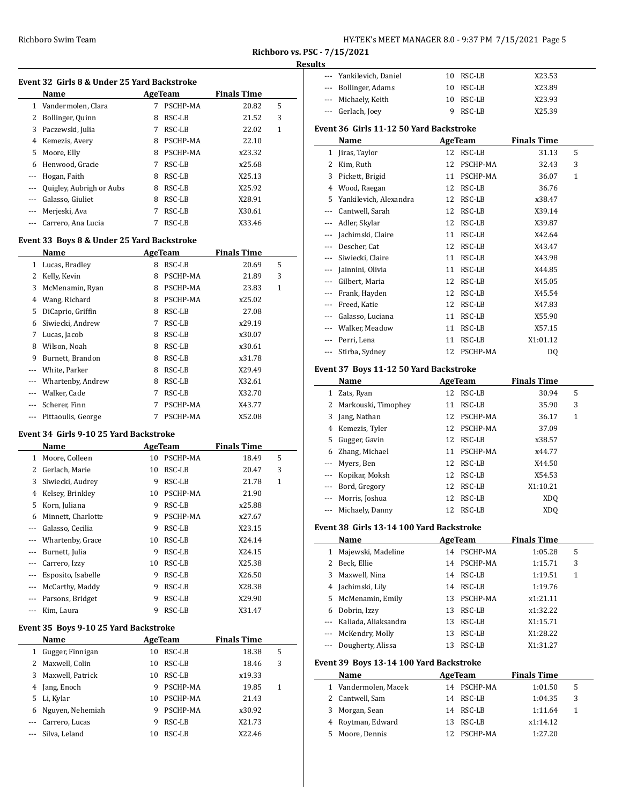| HY-TEK's MEET MANAGER 8.0 - 9:37 PM 7/15/2021 Page 5 |  |  |  |
|------------------------------------------------------|--|--|--|
|------------------------------------------------------|--|--|--|

#### **Results**

| Event 32  Girls 8 & Under 25 Yard Backstroke |                          |   |          |                    |   |  |  |
|----------------------------------------------|--------------------------|---|----------|--------------------|---|--|--|
|                                              | Name                     |   | AgeTeam  | <b>Finals Time</b> |   |  |  |
| 1                                            | Vandermolen, Clara       |   | PSCHP-MA | 20.82              | 5 |  |  |
| 2                                            | Bollinger, Quinn         | 8 | RSC-LB   | 21.52              | 3 |  |  |
| 3                                            | Paczewski, Julia         | 7 | RSC-LB   | 22.02              | 1 |  |  |
| 4                                            | Kemezis, Avery           | 8 | PSCHP-MA | 22.10              |   |  |  |
| 5                                            | Moore, Elly              | 8 | PSCHP-MA | x23.32             |   |  |  |
| 6                                            | Henwood, Gracie          | 7 | RSC-LB   | x25.68             |   |  |  |
| ---                                          | Hogan, Faith             | 8 | RSC-LB   | X25.13             |   |  |  |
| $---$                                        | Quigley, Aubrigh or Aubs | 8 | RSC-LB   | X25.92             |   |  |  |
| ---                                          | Galasso, Giuliet         | 8 | RSC-LB   | X28.91             |   |  |  |
| $---$                                        | Merjeski, Ava            | 7 | RSC-LB   | X30.61             |   |  |  |
|                                              | Carrero, Ana Lucia       |   | RSC-LB   | X33.46             |   |  |  |

## **Event 33 Boys 8 & Under 25 Yard Backstroke**

|          | Name               |   | <b>AgeTeam</b> | <b>Finals Time</b> |   |
|----------|--------------------|---|----------------|--------------------|---|
| 1        | Lucas, Bradley     | 8 | RSC-LB         | 20.69              | 5 |
| 2        | Kelly, Kevin       | 8 | PSCHP-MA       | 21.89              | 3 |
| 3        | McMenamin, Ryan    | 8 | PSCHP-MA       | 23.83              | 1 |
| 4        | Wang, Richard      | 8 | PSCHP-MA       | x25.02             |   |
| 5        | DiCaprio, Griffin  | 8 | RSC-LB         | 27.08              |   |
| 6        | Siwiecki, Andrew   | 7 | RSC-LB         | x29.19             |   |
| 7        | Lucas, Jacob       | 8 | RSC-LB         | x30.07             |   |
| 8        | Wilson, Noah       | 8 | RSC-LB         | x30.61             |   |
| 9        | Burnett, Brandon   | 8 | RSC-LB         | x31.78             |   |
|          | White, Parker      | 8 | RSC-LB         | X29.49             |   |
|          | Whartenby, Andrew  | 8 | RSC-LB         | X32.61             |   |
|          | Walker, Cade       | 7 | RSC-LB         | X32.70             |   |
| $\cdots$ | Scherer, Finn      | 7 | PSCHP-MA       | X43.77             |   |
|          | Pittaoulis, George |   | PSCHP-MA       | X52.08             |   |

#### **Event 34 Girls 9-10 25 Yard Backstroke**

|          | Name               |    | AgeTeam  | <b>Finals Time</b> |   |
|----------|--------------------|----|----------|--------------------|---|
| 1        | Moore, Colleen     | 10 | PSCHP-MA | 18.49              | 5 |
| 2        | Gerlach, Marie     | 10 | RSC-LB   | 20.47              | 3 |
| 3        | Siwiecki, Audrey   | 9  | RSC-LB   | 21.78              | 1 |
| 4        | Kelsey, Brinkley   | 10 | PSCHP-MA | 21.90              |   |
| 5        | Korn, Juliana      | 9  | RSC-LB   | x25.88             |   |
| 6        | Minnett, Charlotte | 9  | PSCHP-MA | x27.67             |   |
|          | Galasso, Cecilia   | 9  | RSC-LB   | X23.15             |   |
|          | Whartenby, Grace   | 10 | RSC-LB   | X24.14             |   |
| $---$    | Burnett, Julia     | 9  | RSC-LB   | X24.15             |   |
|          | Carrero, Izzy      | 10 | RSC-LB   | X25.38             |   |
| $\cdots$ | Esposito, Isabelle | 9  | RSC-LB   | X26.50             |   |
|          | McCarthy, Maddy    | 9  | RSC-LB   | X28.38             |   |
|          | Parsons, Bridget   | 9  | RSC-LB   | X29.90             |   |
|          | Kim, Laura         | 9  | RSC-LB   | X31.47             |   |

## **Event 35 Boys 9-10 25 Yard Backstroke**

|   | Name               |    | AgeTeam  | <b>Finals Time</b> |   |
|---|--------------------|----|----------|--------------------|---|
| 1 | Gugger, Finnigan   | 10 | RSC-LB   | 18.38              | 5 |
|   | 2 Maxwell, Colin   | 10 | RSC-LB   | 18.46              | 3 |
|   | 3 Maxwell, Patrick | 10 | RSC-LB   | x19.33             |   |
| 4 | Jang, Enoch        | 9  | PSCHP-MA | 19.85              | 1 |
|   | 5 Li, Kylar        | 10 | PSCHP-MA | 21.43              |   |
|   | 6 Nguyen, Nehemiah | 9  | PSCHP-MA | x30.92             |   |
|   | --- Carrero, Lucas | 9  | RSC-LB   | X21.73             |   |
|   | Silva, Leland      | 10 | RSC-LB   | X22.46             |   |

| --- Yankilevich, Daniel | 10 RSC-LB | X23.53 |
|-------------------------|-----------|--------|
| --- Bollinger, Adams    | 10 RSC-LB | X23.89 |
| --- Michaely, Keith     | 10 RSC-LB | X23.93 |
| --- Gerlach, Joev       | 9 RSC-LB  | X25.39 |

### **Event 36 Girls 11-12 50 Yard Backstroke**

|       | Name                                   |    | <b>AgeTeam</b> | <b>Finals Time</b> |              |  |
|-------|----------------------------------------|----|----------------|--------------------|--------------|--|
| 1     | Jiras, Taylor                          | 12 | RSC-LB         | 31.13              | 5            |  |
| 2     | Kim, Ruth                              | 12 | PSCHP-MA       | 32.43              | 3            |  |
| 3     | Pickett, Brigid                        | 11 | PSCHP-MA       | 36.07              | $\mathbf{1}$ |  |
| 4     | Wood, Raegan                           | 12 | RSC-LB         | 36.76              |              |  |
| 5     | Yankilevich, Alexandra                 | 12 | RSC-LB         | x38.47             |              |  |
| ---   | Cantwell, Sarah                        | 12 | RSC-LB         | X39.14             |              |  |
| ---   | Adler, Skylar                          | 12 | RSC-LB         | X39.87             |              |  |
|       | Jachimski, Claire                      | 11 | RSC-LB         | X42.64             |              |  |
|       | Descher, Cat                           | 12 | RSC-LB         | X43.47             |              |  |
|       | Siwiecki, Claire                       | 11 | RSC-LB         | X43.98             |              |  |
|       | Jainnini, Olivia                       | 11 | RSC-LB         | X44.85             |              |  |
| $---$ | Gilbert, Maria                         | 12 | RSC-LB         | X45.05             |              |  |
|       | Frank, Hayden                          | 12 | RSC-LB         | X45.54             |              |  |
| ---   | Freed, Katie                           | 12 | RSC-LB         | X47.83             |              |  |
|       | Galasso, Luciana                       | 11 | RSC-LB         | X55.90             |              |  |
|       | Walker, Meadow                         | 11 | RSC-LB         | X57.15             |              |  |
|       | Perri, Lena                            | 11 | RSC-LB         | X1:01.12           |              |  |
|       | Stirba, Sydney                         | 12 | PSCHP-MA       | DQ                 |              |  |
|       | Event 37 Roys 11-12 50 Yard Backstroke |    |                |                    |              |  |

# **Event 37 Boys 11-12 50 Yard Backstroke**

|          | Name                | AgeTeam |             | <b>Finals Time</b> |   |
|----------|---------------------|---------|-------------|--------------------|---|
| 1        | Zats, Ryan          |         | 12 RSC-LB   | 30.94              | 5 |
| 2        | Markouski, Timophey | 11      | RSC-LB      | 35.90              | 3 |
| 3        | Jang, Nathan        |         | 12 PSCHP-MA | 36.17              | 1 |
|          | 4 Kemezis, Tyler    |         | 12 PSCHP-MA | 37.09              |   |
| 5.       | Gugger, Gavin       | 12      | RSC-LB      | x38.57             |   |
| 6        | Zhang, Michael      | 11      | PSCHP-MA    | x44.77             |   |
|          | --- Myers, Ben      | 12      | RSC-LB      | X44.50             |   |
|          | --- Kopikar, Moksh  | 12      | RSC-LB      | X54.53             |   |
|          | --- Bord, Gregory   | 12      | RSC-LB      | X1:10.21           |   |
| $\cdots$ | Morris, Joshua      | 12      | RSC-LB      | XD <sub>O</sub>    |   |
|          | Michaely, Danny     | 12      | RSC-LB      | XDO                |   |

# **Event 38 Girls 13-14 100 Yard Backstroke**

|    | Name                     |    | AgeTeam  | <b>Finals Time</b> |   |
|----|--------------------------|----|----------|--------------------|---|
| 1  | Majewski, Madeline       | 14 | PSCHP-MA | 1:05.28            | 5 |
| 2  | Beck, Ellie              | 14 | PSCHP-MA | 1:15.71            | 3 |
| 3  | Maxwell, Nina            | 14 | RSC-LB   | 1:19.51            | 1 |
| 4  | Jachimski, Lily          | 14 | RSC-LB   | 1:19.76            |   |
|    | 5 McMenamin, Emily       | 13 | PSCHP-MA | x1:21.11           |   |
| 6. | Dobrin, Izzy             | 13 | RSC-LB   | x1:32.22           |   |
|    | --- Kaliada, Aliaksandra | 13 | RSC-LB   | X1:15.71           |   |
|    | --- McKendry, Molly      | 13 | RSC-LB   | X1:28.22           |   |
|    | Dougherty, Alissa        | 13 | RSC-LB   | X1:31.27           |   |

#### **Event 39 Boys 13-14 100 Yard Backstroke**

| Name<br>AgeTeam      |    | <b>Finals Time</b> |          |   |
|----------------------|----|--------------------|----------|---|
| 1 Vandermolen, Macek |    | 14 PSCHP-MA        | 1:01.50  |   |
| 2 Cantwell, Sam      |    | 14 RSC-LB          | 1:04.35  | 3 |
| 3 Morgan, Sean       |    | 14 RSC-LB          | 1:11.64  |   |
| 4 Roytman, Edward    | 13 | RSC-LB             | x1:14.12 |   |
| 5 Moore, Dennis      |    | 12 PSCHP-MA        | 1:27.20  |   |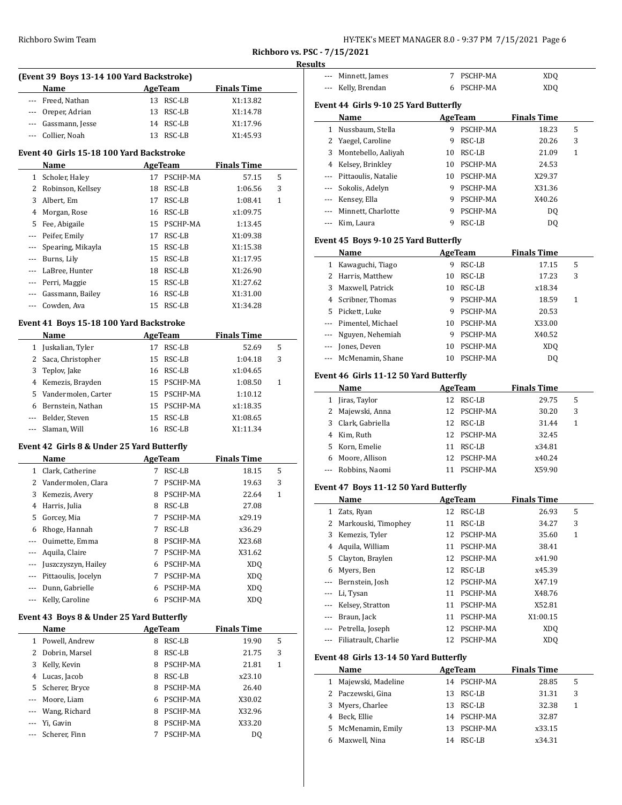#### **Results**

|       | (Event 39 Boys 13-14 100 Yard Backstroke)  |    |                |                    | Results  |
|-------|--------------------------------------------|----|----------------|--------------------|----------|
|       | <b>Name</b>                                |    | <b>AgeTeam</b> | <b>Finals Time</b> |          |
| ---   | Freed, Nathan                              |    | 13 RSC-LB      | X1:13.82           |          |
|       | --- Oreper, Adrian                         | 13 | RSC-LB         | X1:14.78           | Ev       |
|       | --- Gassmann, Jesse                        |    | 14 RSC-LB      | X1:17.96           |          |
| ---   | Collier, Noah                              |    | 13 RSC-LB      | X1:45.93           |          |
|       | Event 40 Girls 15-18 100 Yard Backstroke   |    |                |                    |          |
|       | Name                                       |    | AgeTeam        | <b>Finals Time</b> |          |
|       | 1 Scholer, Haley                           |    | 17 PSCHP-MA    | 57.15              | 5        |
|       | 2 Robinson, Kellsey                        | 18 | RSC-LB         | 1:06.56            | 3        |
|       | 3 Albert, Em                               | 17 | RSC-LB         | 1:08.41            | 1        |
|       | 4 Morgan, Rose                             | 16 | RSC-LB         | x1:09.75           |          |
| 5     | Fee, Abigaile                              | 15 | PSCHP-MA       | 1:13.45            |          |
| $---$ | Peifer, Emily                              | 17 | RSC-LB         | X1:09.38           |          |
| ---   | Spearing, Mikayla                          | 15 | RSC-LB         | X1:15.38           | Eve      |
| ---   | Burns, Lily                                |    | 15 RSC-LB      | X1:17.95           |          |
| ---   | LaBree, Hunter                             |    | 18 RSC-LB      | X1:26.90           |          |
| ---   | Perri, Maggie                              |    | 15 RSC-LB      | X1:27.62           |          |
|       | Gassmann, Bailey                           |    | 16 RSC-LB      | X1:31.00           |          |
| $---$ | Cowden, Ava                                |    | 15 RSC-LB      | X1:34.28           |          |
|       |                                            |    |                |                    |          |
|       | Event 41 Boys 15-18 100 Yard Backstroke    |    |                |                    |          |
|       | Name                                       |    | <b>AgeTeam</b> | <b>Finals Time</b> |          |
|       | 1 Juskalian, Tyler                         |    | 17 RSC-LB      | 52.69              | 5        |
|       | 2 Saca, Christopher                        | 15 | RSC-LB         | 1:04.18            | 3        |
|       | 3 Teplov, Jake                             | 16 | RSC-LB         | x1:04.65           | Eve      |
|       | 4 Kemezis, Brayden                         |    | 15 PSCHP-MA    | 1:08.50            | 1        |
|       | 5 Vandermolen, Carter                      |    | 15 PSCHP-MA    | 1:10.12            |          |
|       | 6 Bernstein, Nathan                        |    | 15 PSCHP-MA    | x1:18.35           |          |
|       | --- Belder, Steven                         | 15 | RSC-LB         | X1:08.65           |          |
| $---$ | Slaman, Will                               |    | 16 RSC-LB      | X1:11.34           |          |
|       | Event 42 Girls 8 & Under 25 Yard Butterfly |    |                |                    |          |
|       | Name                                       |    | AgeTeam        | <b>Finals Time</b> |          |
|       | 1 Clark, Catherine                         |    | 7 RSC-LB       | 18.15              | 5        |
|       | 2 Vandermolen, Clara                       | 7  | PSCHP-MA       | 19.63              | 3<br>Eve |
|       | 3 Kemezis, Avery                           | 8  | PSCHP-MA       | 22.64              | 1        |
|       | 4 Harris, Julia                            | 8  | RSC-LB         | 27.08              |          |
| 5     | Gorcey, Mia                                | 7  | PSCHP-MA       | x29.19             |          |
| 6     | Rhoge, Hannah                              | 7  | RSC-LB         | x36.29             |          |
| ---   | Ouimette, Emma                             | 8  | PSCHP-MA       | X23.68             |          |
| ---   | Aquila, Claire                             | 7  | PSCHP-MA       | X31.62             |          |
| ---   | Juszczyszyn, Hailey                        | 6  | PSCHP-MA       | XDQ                |          |
| ---   | Pittaoulis, Jocelyn                        | 7  | PSCHP-MA       | <b>XDQ</b>         |          |
| ---   | Dunn, Gabrielle                            | 6  | PSCHP-MA       | XDQ                |          |
| ---   | Kelly, Caroline                            | 6  | PSCHP-MA       | XDQ                |          |
|       | Event 43 Boys 8 & Under 25 Yard Butterfly  |    |                |                    |          |
|       | Name                                       |    | AgeTeam        | <b>Finals Time</b> |          |
|       | 1 Powell, Andrew                           | 8  | RSC-LB         | 19.90              | 5        |
| 2     | Dobrin, Marsel                             | 8  | RSC-LB         | 21.75              | 3        |
| 3     | Kelly, Kevin                               | 8  | PSCHP-MA       | 21.81              | Eve<br>1 |
|       | 4 Lucas, Jacob                             |    | 8 RSC-LB       | x23.10             |          |

5 Scherer, Bryce 8 PSCHP-MA 26.40 --- Moore, Liam 6 PSCHP-MA X30.02 --- Wang, Richard 8 PSCHP-MA X32.96 --- Yi, Gavin 8 PSCHP-MA X33.20 --- Scherer, Finn 7 PSCHP-MA DQ

| ---            | Minnett, James                         | 7  | PSCHP-MA       | XDQ                |              |
|----------------|----------------------------------------|----|----------------|--------------------|--------------|
| ---            | Kelly, Brendan                         |    | 6 PSCHP-MA     | <b>XDQ</b>         |              |
|                |                                        |    |                |                    |              |
|                | Event 44  Girls 9-10 25 Yard Butterfly |    |                |                    |              |
|                | Name                                   |    | AgeTeam        | <b>Finals Time</b> |              |
| 1              | Nussbaum, Stella                       |    | 9 PSCHP-MA     | 18.23              | 5            |
| 2              | Yaegel, Caroline                       | 9  | RSC-LB         | 20.26              | 3            |
| 3              | Montebello, Aaliyah                    |    | 10 RSC-LB      | 21.09              | 1            |
|                | 4 Kelsey, Brinkley                     |    | 10 PSCHP-MA    | 24.53              |              |
|                | --- Pittaoulis, Natalie                |    | 10 PSCHP-MA    | X29.37             |              |
|                | --- Sokolis, Adelyn                    |    | 9 PSCHP-MA     | X31.36             |              |
|                | --- Kensey, Ella                       |    | 9 PSCHP-MA     | X40.26             |              |
|                | --- Minnett, Charlotte                 |    | 9 PSCHP-MA     |                    |              |
|                |                                        |    |                | DQ                 |              |
| $---$          | Kim, Laura                             |    | 9 RSC-LB       | <b>DQ</b>          |              |
|                | Event 45 Boys 9-10 25 Yard Butterfly   |    |                |                    |              |
|                | Name                                   |    | <b>AgeTeam</b> | <b>Finals Time</b> |              |
| $\mathbf{1}$   | Kawaguchi, Tiago                       |    | 9 RSC-LB       | 17.15              | 5            |
| 2              | Harris, Matthew                        |    | 10 RSC-LB      | 17.23              | 3            |
| 3              | Maxwell, Patrick                       |    | 10 RSC-LB      | x18.34             |              |
| $\overline{4}$ | Scribner, Thomas                       |    | 9 PSCHP-MA     | 18.59              | $\mathbf{1}$ |
| 5              | Pickett, Luke                          |    | 9 PSCHP-MA     | 20.53              |              |
|                | --- Pimentel, Michael                  |    | 10 PSCHP-MA    | X33.00             |              |
| ---            | Nguyen, Nehemiah                       |    | 9 PSCHP-MA     | X40.52             |              |
| ---            | Jones, Deven                           |    | 10 PSCHP-MA    | XDQ                |              |
| ---            | McMenamin, Shane                       |    | 10 PSCHP-MA    | DQ                 |              |
|                |                                        |    |                |                    |              |
|                | Event 46 Girls 11-12 50 Yard Butterfly |    |                |                    |              |
|                | Name                                   |    | <b>AgeTeam</b> | <b>Finals Time</b> |              |
| $\mathbf{1}$   | Jiras, Taylor                          |    | 12 RSC-LB      | 29.75              | 5            |
| 2              | Majewski, Anna                         |    | 12 PSCHP-MA    | 30.20              | 3            |
| 3              | Clark, Gabriella                       |    | 12 RSC-LB      | 31.44              | 1            |
| 4              | Kim, Ruth                              |    | 12 PSCHP-MA    | 32.45              |              |
|                | 5 Korn, Emelie                         |    | 11 RSC-LB      | x34.81             |              |
| 6              | Moore, Allison                         |    | 12 PSCHP-MA    | x40.24             |              |
| ---            | Robbins, Naomi                         | 11 | PSCHP-MA       | X59.90             |              |
|                |                                        |    |                |                    |              |
|                | Event 47 Boys 11-12 50 Yard Butterfly  |    |                |                    |              |
|                | Name                                   |    | <b>AgeTeam</b> | <b>Finals Time</b> |              |
|                | 1 Zats, Ryan                           |    | 12 RSC-LB      | 26.93              | 5            |
|                | 2 Markouski, Timophey                  |    | 11 RSC-LB      | 34.27              | 3            |
| 3              | Kemezis, Tyler                         | 12 | PSCHP-MA       | 35.60              | 1            |
| 4              | Aquila, William                        | 11 | PSCHP-MA       | 38.41              |              |
| 5              | Clayton, Braylen                       | 12 | PSCHP-MA       | x41.90             |              |
| 6              | Myers, Ben                             | 12 | RSC-LB         | x45.39             |              |
| ---            | Bernstein, Josh                        | 12 | PSCHP-MA       | X47.19             |              |
| ---            | Li, Tysan                              | 11 | PSCHP-MA       | X48.76             |              |
| ---            | Kelsey, Stratton                       | 11 | PSCHP-MA       | X52.81             |              |
| ---            | Braun, Jack                            | 11 | PSCHP-MA       | X1:00.15           |              |
| ---            | Petrella, Joseph                       | 12 | PSCHP-MA       | XDQ                |              |
| ---            | Filiatrault, Charlie                   | 12 | PSCHP-MA       | XDQ                |              |
|                | Event 48 Girls 13-14 50 Yard Butterfly |    |                |                    |              |
|                | Name                                   |    | <b>AgeTeam</b> | <b>Finals Time</b> |              |
| 1              | Majewski, Madeline                     |    | 14 PSCHP-MA    | 28.85              | 5            |
| 2              | Paczewski, Gina                        | 13 | RSC-LB         | 31.31              | 3            |
| 3              | Myers, Charlee                         | 13 | RSC-LB         | 32.38              | 1            |
| 4              | Beck, Ellie                            | 14 | PSCHP-MA       | 32.87              |              |
| 5              | McMenamin, Emily                       | 13 | PSCHP-MA       | x33.15             |              |
| 6              | Maxwell, Nina                          | 14 | RSC-LB         | x34.31             |              |
|                |                                        |    |                |                    |              |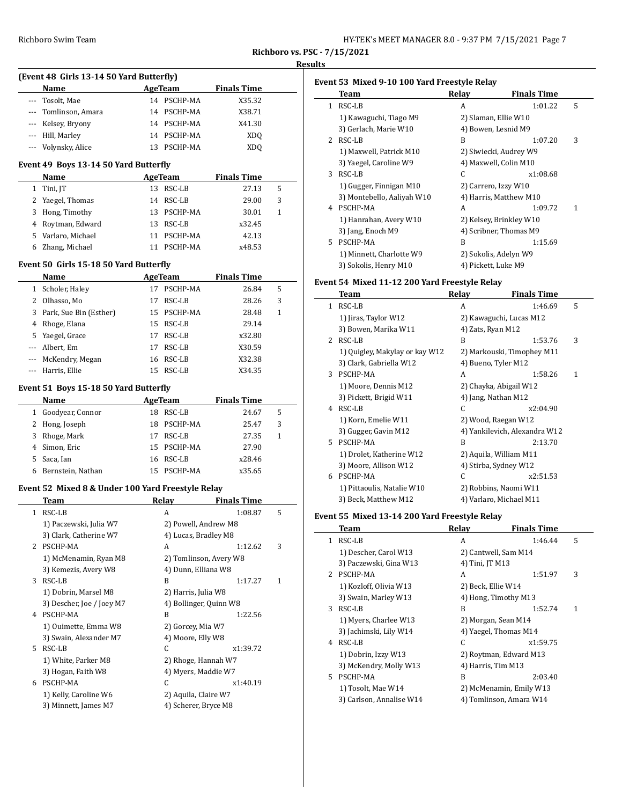| HY-TEK's MEET MANAGER 8.0 - 9:37 PM 7/15/2021 Page 7 |  |  |
|------------------------------------------------------|--|--|
|------------------------------------------------------|--|--|

**Richboro vs. PSC - 7/15/2021 Results**

|       | (Event 48 Girls 13-14 50 Yard Butterfly)          |         |                            |                    |   | Ev |
|-------|---------------------------------------------------|---------|----------------------------|--------------------|---|----|
|       | Name                                              |         | AgeTeam                    | <b>Finals Time</b> |   |    |
|       | --- Tosolt, Mae                                   |         | 14 PSCHP-MA                | X35.32             |   |    |
|       | --- Tomlinson, Amara                              |         | 14 PSCHP-MA                | X38.71             |   |    |
|       | --- Kelsey, Bryony                                |         | 14 PSCHP-MA                | X41.30             |   |    |
|       | --- Hill, Marley                                  |         | 14 PSCHP-MA                | XDQ                |   |    |
| ---   | Volynsky, Alice                                   |         | 13 PSCHP-MA                | XDQ                |   |    |
|       | Event 49 Boys 13-14 50 Yard Butterfly             |         |                            |                    |   |    |
|       | Name                                              |         | <b>AgeTeam</b>             | <b>Finals Time</b> |   |    |
|       | 1 Tini, JT                                        |         | 13 RSC-LB                  | 27.13              | 5 |    |
|       | 2 Yaegel, Thomas                                  |         | 14 RSC-LB                  | 29.00              | 3 |    |
|       | 3 Hong, Timothy                                   |         | 13 PSCHP-MA                | 30.01              | 1 |    |
|       | 4 Roytman, Edward                                 |         | 13 RSC-LB                  | x32.45             |   |    |
|       | 5 Varlaro, Michael<br>6 Zhang, Michael            |         | 11 PSCHP-MA<br>11 PSCHP-MA | 42.13<br>x48.53    |   |    |
|       |                                                   |         |                            |                    |   |    |
|       | Event 50 Girls 15-18 50 Yard Butterfly<br>Name    |         | AgeTeam                    | <b>Finals Time</b> |   |    |
|       |                                                   |         | 17 PSCHP-MA                | 26.84              | 5 | Ev |
|       | 1 Scholer, Haley<br>2 Olhasso, Mo                 |         | 17 RSC-LB                  | 28.26              | 3 |    |
|       | 3 Park, Sue Bin (Esther)                          |         | 15 PSCHP-MA                | 28.48              | 1 |    |
|       | 4 Rhoge, Elana                                    |         | 15 RSC-LB                  | 29.14              |   |    |
|       | 5 Yaegel, Grace                                   |         | 17 RSC-LB                  | x32.80             |   |    |
|       | --- Albert, Em                                    |         | 17 RSC-LB                  | X30.59             |   |    |
|       | --- McKendry, Megan                               |         | 16 RSC-LB                  | X32.38             |   |    |
| $---$ | Harris, Ellie                                     |         | 15 RSC-LB                  | X34.35             |   |    |
|       |                                                   |         |                            |                    |   |    |
|       | Event 51 Boys 15-18 50 Yard Butterfly             |         |                            |                    |   |    |
|       | Name                                              | AgeTeam |                            | <b>Finals Time</b> |   |    |
|       | 1 Goodyear, Connor                                |         | 18 RSC-LB                  | 24.67              | 5 |    |
|       | 2 Hong, Joseph                                    |         | 18 PSCHP-MA                | 25.47              | 3 |    |
|       | 3 Rhoge, Mark                                     |         | 17 RSC-LB                  | 27.35              | 1 |    |
|       | 4 Simon, Eric<br>Saca, Ian                        |         | 15 PSCHP-MA<br>16 RSC-LB   | 27.90              |   |    |
| 5     | 6 Bernstein, Nathan                               |         | 15 PSCHP-MA                | x28.46<br>x35.65   |   |    |
|       |                                                   |         |                            |                    |   |    |
|       | Event 52 Mixed 8 & Under 100 Yard Freestyle Relay |         | Relay                      | <b>Finals Time</b> |   |    |
|       | Team<br>1 RSC-LB                                  |         | A                          | 1:08.87            | 5 |    |
|       | 1) Paczewski, Julia W7                            |         | 2) Powell, Andrew M8       |                    |   | Ev |
|       | 3) Clark, Catherine W7                            |         | 4) Lucas, Bradley M8       |                    |   |    |
|       | 2 PSCHP-MA                                        |         | A                          | 1:12.62            | 3 |    |
|       | 1) McMenamin, Ryan M8                             |         | 2) Tomlinson, Avery W8     |                    |   |    |
|       | 3) Kemezis, Avery W8                              |         | 4) Dunn, Elliana W8        |                    |   |    |
|       | 3 RSC-LB                                          |         | B                          | 1:17.27            | 1 |    |
|       | 1) Dobrin, Marsel M8                              |         | 2) Harris, Julia W8        |                    |   |    |
|       | 3) Descher, Joe / Joey M7                         |         | 4) Bollinger, Quinn W8     |                    |   |    |
|       | 4 PSCHP-MA                                        |         | B                          | 1:22.56            |   |    |
|       | 1) Ouimette, Emma W8                              |         | 2) Gorcey, Mia W7          |                    |   |    |
|       | 3) Swain, Alexander M7                            |         | 4) Moore, Elly W8          |                    |   |    |
|       | 5 RSC-LB                                          |         | С                          | x1:39.72           |   |    |
|       | 1) White, Parker M8                               |         | 2) Rhoge, Hannah W7        |                    |   |    |
|       | 3) Hogan, Faith W8                                |         | 4) Myers, Maddie W7        |                    |   |    |
|       | 6 PSCHP-MA                                        |         | C                          | x1:40.19           |   |    |
|       | 1) Kelly, Caroline W6                             |         | 2) Aquila, Claire W7       |                    |   |    |
|       | 3) Minnett, James M7                              |         | 4) Scherer, Bryce M8       |                    |   |    |
|       |                                                   |         |                            |                    |   |    |
|       |                                                   |         |                            |                    |   |    |

|                | Team                       | Relay | <b>Finals Time</b>      |   |
|----------------|----------------------------|-------|-------------------------|---|
| 1.             | RSC-LB                     | A     | 1:01.22                 | 5 |
|                | 1) Kawaguchi, Tiago M9     |       | 2) Slaman, Ellie W10    |   |
|                | 3) Gerlach, Marie W10      |       | 4) Bowen, Lesnid M9     |   |
| $\overline{2}$ | RSC-LB                     | B     | 1:07.20                 | 3 |
|                | 1) Maxwell, Patrick M10    |       | 2) Siwiecki, Audrey W9  |   |
|                | 3) Yaegel, Caroline W9     |       | 4) Maxwell, Colin M10   |   |
| 3              | RSC-LB                     | C.    | x1:08.68                |   |
|                | 1) Gugger, Finnigan M10    |       | 2) Carrero, Izzy W10    |   |
|                | 3) Montebello, Aaliyah W10 |       | 4) Harris, Matthew M10  |   |
| 4              | PSCHP-MA                   | A     | 1:09.72                 | 1 |
|                | 1) Hanrahan, Avery W10     |       | 2) Kelsey, Brinkley W10 |   |
|                | 3) Jang, Enoch M9          |       | 4) Scribner, Thomas M9  |   |
| 5.             | PSCHP-MA                   | R     | 1:15.69                 |   |
|                | 1) Minnett, Charlotte W9   |       | 2) Sokolis, Adelyn W9   |   |
|                | 3) Sokolis, Henry M10      |       | 4) Pickett, Luke M9     |   |

# **Event 54 Mixed 11-12 200 Yard Freestyle Relay**

|               | Team                           | Relay                  | <b>Finals Time</b>            |   |
|---------------|--------------------------------|------------------------|-------------------------------|---|
| $\mathbf{1}$  | RSC-LB                         | A                      | 1:46.69                       | 5 |
|               | 1) Jiras, Taylor W12           |                        | 2) Kawaguchi, Lucas M12       |   |
|               | 3) Bowen, Marika W11           | 4) Zats, Ryan M12      |                               |   |
| $\mathcal{L}$ | RSC-LB                         | B                      | 1:53.76                       | 3 |
|               | 1) Quigley, Makylay or kay W12 |                        | 2) Markouski, Timophey M11    |   |
|               | 3) Clark, Gabriella W12        | 4) Bueno, Tyler M12    |                               |   |
| 3             | PSCHP-MA                       | A                      | 1:58.26                       | 1 |
|               | 1) Moore, Dennis M12           | 2) Chayka, Abigail W12 |                               |   |
|               | 3) Pickett, Brigid W11         | 4) Jang, Nathan M12    |                               |   |
| 4             | RSC-LB                         | C                      | x2:04.90                      |   |
|               | 1) Korn, Emelie W11            | 2) Wood, Raegan W12    |                               |   |
|               | 3) Gugger, Gavin M12           |                        | 4) Yankilevich, Alexandra W12 |   |
| 5.            | PSCHP-MA                       | B                      | 2:13.70                       |   |
|               | 1) Drolet, Katherine W12       |                        | 2) Aquila, William M11        |   |
|               | 3) Moore, Allison W12          |                        | 4) Stirba, Sydney W12         |   |
| 6             | PSCHP-MA                       | C                      | x2:51.53                      |   |
|               | 1) Pittaoulis, Natalie W10     |                        | 2) Robbins, Naomi W11         |   |
|               | 3) Beck, Matthew M12           |                        | 4) Varlaro, Michael M11       |   |

# **Event 55 Mixed 13-14 200 Yard Freestyle Relay**

|    | Team                     | Relay              | <b>Finals Time</b>      |   |
|----|--------------------------|--------------------|-------------------------|---|
| 1  | RSC-LB                   | A                  | 1:46.44                 | 5 |
|    | 1) Descher, Carol W13    |                    | 2) Cantwell, Sam M14    |   |
|    | 3) Paczewski, Gina W13   | 4) Tini, JT M13    |                         |   |
|    | 2 PSCHP-MA               | A                  | 1:51.97                 | 3 |
|    | 1) Kozloff, Olivia W13   | 2) Beck, Ellie W14 |                         |   |
|    | 3) Swain, Marley W13     |                    | 4) Hong, Timothy M13    |   |
| 3  | RSC-LB                   | B                  | 1:52.74                 | 1 |
|    | 1) Myers, Charlee W13    |                    | 2) Morgan, Sean M14     |   |
|    | 3) Jachimski, Lily W14   |                    | 4) Yaegel, Thomas M14   |   |
| 4  | RSC-LB                   | C.                 | x1:59.75                |   |
|    | 1) Dobrin, Izzy W13      |                    | 2) Roytman, Edward M13  |   |
|    | 3) McKendry, Molly W13   | 4) Harris, Tim M13 |                         |   |
| 5. | PSCHP-MA                 | B                  | 2:03.40                 |   |
|    | 1) Tosolt, Mae W14       |                    | 2) McMenamin, Emily W13 |   |
|    | 3) Carlson, Annalise W14 |                    | 4) Tomlinson, Amara W14 |   |